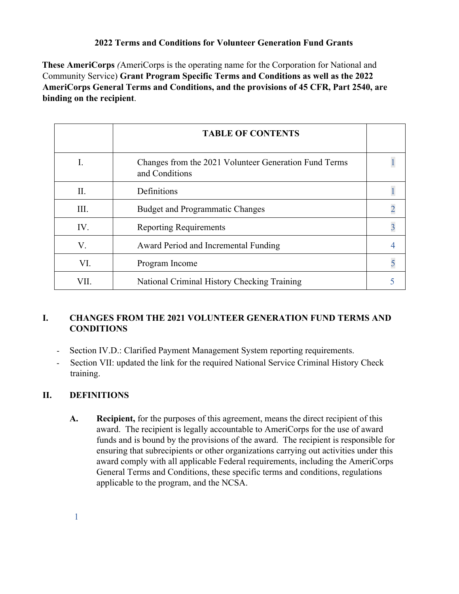## **2022 Terms and Conditions for Volunteer Generation Fund Grants**

**These AmeriCorps** *(*AmeriCorps is the operating name for the Corporation for National and Community Service) **Grant Program Specific Terms and Conditions as well as the 2022 AmeriCorps General Terms and Conditions, and the provisions of 45 CFR, Part 2540, are binding on the recipient**.

|      | <b>TABLE OF CONTENTS</b>                                                |  |
|------|-------------------------------------------------------------------------|--|
|      | Changes from the 2021 Volunteer Generation Fund Terms<br>and Conditions |  |
| Π.   | Definitions                                                             |  |
| III. | <b>Budget and Programmatic Changes</b>                                  |  |
| IV.  | <b>Reporting Requirements</b>                                           |  |
| V.   | Award Period and Incremental Funding                                    |  |
| VI.  | Program Income                                                          |  |
| VII. | National Criminal History Checking Training                             |  |

# **I. CHANGES FROM THE 2021 VOLUNTEER GENERATION FUND TERMS AND CONDITIONS**

- Section IV.D.: Clarified Payment Management System reporting requirements.
- Section VII: updated the link for the required National Service Criminal History Check training.

## **II. DEFINITIONS**

**A. Recipient,** for the purposes of this agreement, means the direct recipient of this award. The recipient is legally accountable to AmeriCorps for the use of award funds and is bound by the provisions of the award. The recipient is responsible for ensuring that subrecipients or other organizations carrying out activities under this award comply with all applicable Federal requirements, including the AmeriCorps General Terms and Conditions, these specific terms and conditions, regulations applicable to the program, and the NCSA.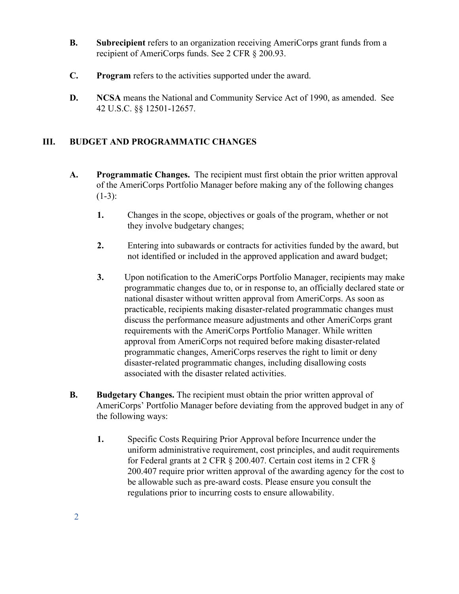- **B. Subrecipient** refers to an organization receiving AmeriCorps grant funds from a recipient of AmeriCorps funds. See 2 CFR § 200.93.
- **C. Program** refers to the activities supported under the award.
- **D. NCSA** means the National and Community Service Act of 1990, as amended. See 42 U.S.C. §§ 12501-12657.

## **III. BUDGET AND PROGRAMMATIC CHANGES**

- **A. Programmatic Changes.** The recipient must first obtain the prior written approval of the AmeriCorps Portfolio Manager before making any of the following changes  $(1-3)$ :
	- **1.** Changes in the scope, objectives or goals of the program, whether or not they involve budgetary changes;
	- **2.** Entering into subawards or contracts for activities funded by the award, but not identified or included in the approved application and award budget;
	- **3.** Upon notification to the AmeriCorps Portfolio Manager, recipients may make programmatic changes due to, or in response to, an officially declared state or national disaster without written approval from AmeriCorps. As soon as practicable, recipients making disaster-related programmatic changes must discuss the performance measure adjustments and other AmeriCorps grant requirements with the AmeriCorps Portfolio Manager. While written approval from AmeriCorps not required before making disaster-related programmatic changes, AmeriCorps reserves the right to limit or deny disaster-related programmatic changes, including disallowing costs associated with the disaster related activities.
- **B. Budgetary Changes.** The recipient must obtain the prior written approval of AmeriCorps' Portfolio Manager before deviating from the approved budget in any of the following ways:
	- **1.** Specific Costs Requiring Prior Approval before Incurrence under the uniform administrative requirement, cost principles, and audit requirements for Federal grants at 2 CFR § 200.407. Certain cost items in 2 CFR § 200.407 require prior written approval of the awarding agency for the cost to be allowable such as pre-award costs. Please ensure you consult the regulations prior to incurring costs to ensure allowability.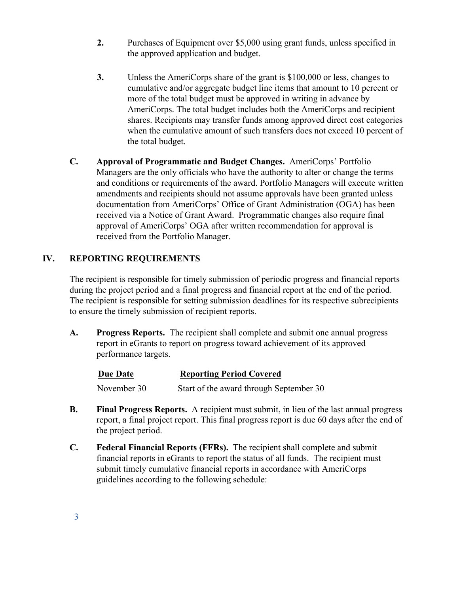- **2.** Purchases of Equipment over \$5,000 using grant funds, unless specified in the approved application and budget.
- **3.** Unless the AmeriCorps share of the grant is \$100,000 or less, changes to cumulative and/or aggregate budget line items that amount to 10 percent or more of the total budget must be approved in writing in advance by AmeriCorps. The total budget includes both the AmeriCorps and recipient shares. Recipients may transfer funds among approved direct cost categories when the cumulative amount of such transfers does not exceed 10 percent of the total budget.
- **C. Approval of Programmatic and Budget Changes.** AmeriCorps' Portfolio Managers are the only officials who have the authority to alter or change the terms and conditions or requirements of the award. Portfolio Managers will execute written amendments and recipients should not assume approvals have been granted unless documentation from AmeriCorps' Office of Grant Administration (OGA) has been received via a Notice of Grant Award. Programmatic changes also require final approval of AmeriCorps' OGA after written recommendation for approval is received from the Portfolio Manager.

# **IV. REPORTING REQUIREMENTS**

The recipient is responsible for timely submission of periodic progress and financial reports during the project period and a final progress and financial report at the end of the period. The recipient is responsible for setting submission deadlines for its respective subrecipients to ensure the timely submission of recipient reports.

**A. Progress Reports.** The recipient shall complete and submit one annual progress report in eGrants to report on progress toward achievement of its approved performance targets.

| Due Date    | <b>Reporting Period Covered</b>         |
|-------------|-----------------------------------------|
| November 30 | Start of the award through September 30 |

- **B. Final Progress Reports.** A recipient must submit, in lieu of the last annual progress report, a final project report. This final progress report is due 60 days after the end of the project period.
- **C. Federal Financial Reports (FFRs).** The recipient shall complete and submit financial reports in eGrants to report the status of all funds. The recipient must submit timely cumulative financial reports in accordance with AmeriCorps guidelines according to the following schedule: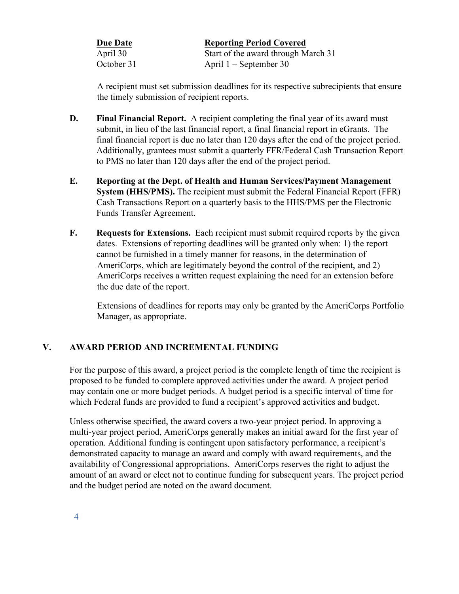| <b>Due Date</b> | <b>Reporting Period Covered</b>     |
|-----------------|-------------------------------------|
| April 30        | Start of the award through March 31 |
| October 31      | April $1$ – September 30            |

A recipient must set submission deadlines for its respective subrecipients that ensure the timely submission of recipient reports.

- **D. Final Financial Report.** A recipient completing the final year of its award must submit, in lieu of the last financial report, a final financial report in eGrants. The final financial report is due no later than 120 days after the end of the project period. Additionally, grantees must submit a quarterly FFR/Federal Cash Transaction Report to PMS no later than 120 days after the end of the project period.
- **E. Reporting at the Dept. of Health and Human Services/Payment Management System (HHS/PMS).** The recipient must submit the Federal Financial Report (FFR) Cash Transactions Report on a quarterly basis to the HHS/PMS per the Electronic Funds Transfer Agreement.
- **F. Requests for Extensions.** Each recipient must submit required reports by the given dates. Extensions of reporting deadlines will be granted only when: 1) the report cannot be furnished in a timely manner for reasons, in the determination of AmeriCorps, which are legitimately beyond the control of the recipient, and 2) AmeriCorps receives a written request explaining the need for an extension before the due date of the report.

Extensions of deadlines for reports may only be granted by the AmeriCorps Portfolio Manager, as appropriate.

## **V. AWARD PERIOD AND INCREMENTAL FUNDING**

For the purpose of this award, a project period is the complete length of time the recipient is proposed to be funded to complete approved activities under the award. A project period may contain one or more budget periods. A budget period is a specific interval of time for which Federal funds are provided to fund a recipient's approved activities and budget.

Unless otherwise specified, the award covers a two-year project period. In approving a multi-year project period, AmeriCorps generally makes an initial award for the first year of operation. Additional funding is contingent upon satisfactory performance, a recipient's demonstrated capacity to manage an award and comply with award requirements, and the availability of Congressional appropriations. AmeriCorps reserves the right to adjust the amount of an award or elect not to continue funding for subsequent years. The project period and the budget period are noted on the award document.